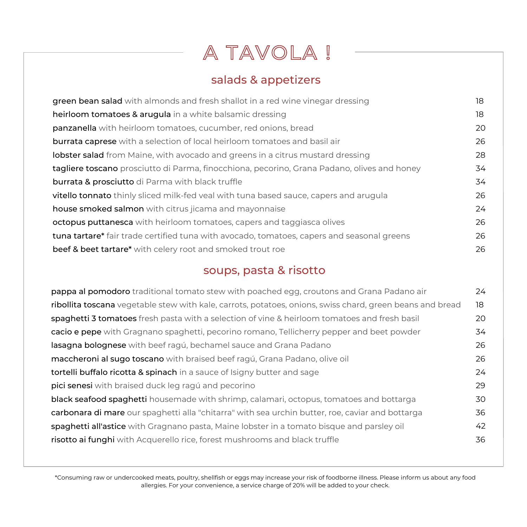# A TAVOLA !

## salads & appetizers

| green bean salad with almonds and fresh shallot in a red wine vinegar dressing               | 18 |
|----------------------------------------------------------------------------------------------|----|
| heirloom tomatoes & arugula in a white balsamic dressing                                     | 18 |
| <b>panzanella</b> with heirloom tomatoes, cucumber, red onions, bread                        | 20 |
| <b>burrata caprese</b> with a selection of local heirloom tomatoes and basil air             | 26 |
| <b>lobster salad</b> from Maine, with avocado and greens in a citrus mustard dressing        | 28 |
| tagliere toscano prosciutto di Parma, finocchiona, pecorino, Grana Padano, olives and honey  | 34 |
| <b>burrata &amp; prosciutto</b> di Parma with black truffle                                  | 34 |
| <b>vitello tonnato</b> thinly sliced milk-fed yeal with tuna based sauce, capers and arugula | 26 |
| house smoked salmon with citrus jicama and mayonnaise                                        | 24 |
| <b>octopus puttanesca</b> with heirloom tomatoes, capers and taggiasca olives                | 26 |
| tuna tartare* fair trade certified tuna with avocado, tomatoes, capers and seasonal greens   | 26 |
| beef & beet tartare* with celery root and smoked trout roe                                   | 26 |

## soups, pasta & risotto

| <b>pappa al pomodoro</b> traditional tomato stew with poached egg, croutons and Grana Padano air          | 24        |
|-----------------------------------------------------------------------------------------------------------|-----------|
| ribollita toscana vegetable stew with kale, carrots, potatoes, onions, swiss chard, green beans and bread | 18        |
| spaghetti 3 tomatoes fresh pasta with a selection of vine & heirloom tomatoes and fresh basil             | <b>20</b> |
| cacio e pepe with Gragnano spaghetti, pecorino romano, Tellicherry pepper and beet powder                 | 34        |
| lasagna bolognese with beef ragú, bechamel sauce and Grana Padano                                         | 26        |
| maccheroni al sugo toscano with braised beef ragú, Grana Padano, olive oil                                | 26        |
| tortelli buffalo ricotta & spinach in a sauce of Isigny butter and sage                                   | 24        |
| pici senesi with braised duck leg ragú and pecorino                                                       | 29        |
| <b>black seafood spaghetti</b> housemade with shrimp, calamari, octopus, tomatoes and bottarga            | 30        |
| carbonara di mare our spaghetti alla "chitarra" with sea urchin butter, roe, caviar and bottarga          | 36        |
| spaghetti all'astice with Gragnano pasta, Maine lobster in a tomato bisque and parsley oil                | 42        |
| risotto ai funghi with Acquerello rice, forest mushrooms and black truffle                                | 36        |

\*Consuming raw or undercooked meats, poultry, shellfish or eggs may increase your risk of foodborne illness. Please inform us about any food allergies. For your convenience, a service charge of 20% will be added to your check.